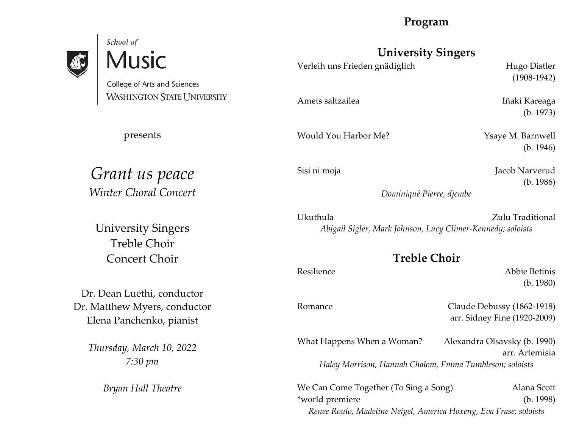# **Program**

# School of **Music**

College of Arts and Sciences **WASHINGTON STATE UNIVERSITY** 

presents

*Grant us peace Winter Choral Concert*

University Singers Treble Choir Concert Choir

Dr. Dean Luethi, conductor Dr. Matthew Myers, conductor Elena Panchenko, pianist

> *Thursday, March 10, 2022 7:30 pm*

> > *Bryan Hall Theatre*

# **University Singers**

Verleih uns Frieden gnädiglich Hugo Distler

Amets saltzailea **Iñaki Kareaga** 

Would You Harbor Me? Ysaye M. Barnwell

(1908-1942)

(b. 1973)

(b. 1946)

Sisi ni moja **Jacob Narverud** (b. 1986)

*Dominiqué Pierre, djembe*

Ukuthula Zulu Traditional *Abigail Sigler, Mark Johnson, Lucy Climer-Kennedy; soloists*

# **Treble Choir**

Resilience Abbie Betinis (b. 1980)

Romance Claude Debussy (1862-1918) arr. Sidney Fine (1920-2009)

What Happens When a Woman? Alexandra Olsavsky (b. 1990) arr. Artemisia *Haley Morrison, Hannah Chalom, Emma Tumbleson; soloists*

We Can Come Together (To Sing a Song) Alana Scott \*world premiere (b. 1998) *Renee Roulo, Madeline Neigel, America Hoxeng, Eva Frase; soloists*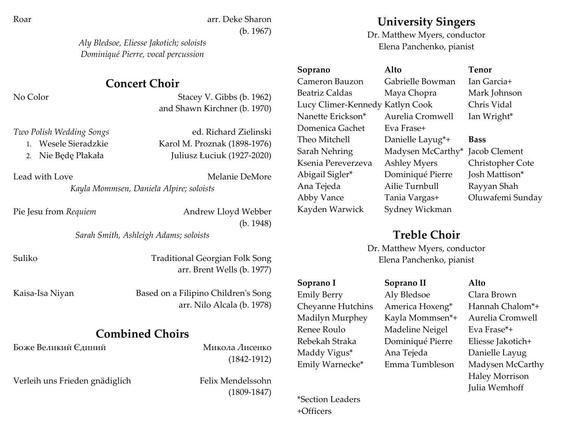Roar arr. Deke Sharon (b. 1967)

> *Aly Bledsoe, Eliesse Jakotich; soloists Dominiqué Pierre, vocal percussion*

# **Concert Choir**

No Color Stacey V. Gibbs (b. 1962) and Shawn Kirchner (b. 1970)

| Two Polish Wedding Songs | ed. Richard Zielinski        |
|--------------------------|------------------------------|
| 1. Wesele Sieradzkie     | Karol M. Proznak (1898-1976) |
| 2. Nie Będę Płakała      | Juliusz Łuciuk (1927-2020)   |

Lead with Love **Melanie** DeMore

*Kayla Mommsen, Daniela Alpire; soloists*

Pie Jesu from *Requiem* Andrew Lloyd Webber

(b. 1948)

*Sarah Smith, Ashleigh Adams; soloists*

Suliko Traditional Georgian Folk Song arr. Brent Wells (b. 1977)

Kaisa-Isa Niyan Based on a Filipino Children's Song arr. Nilo Alcala (b. 1978)

# **Combined Choirs**

Боже Великий Єдиний и Микола Лисенко

(1842-1912)

Verleih uns Frieden gnädiglich Felix Mendelssohn

(1809-1847)

**University Singers**

Dr. Matthew Myers, conductor Elena Panchenko, pianist

Cameron Bauzon Gabrielle Bowman Ian Garcia+ Beatriz Caldas Maya Chopra Mark Johnson Lucy Climer-Kennedy Katlyn Cook Chris Vidal Nanette Erickson\* Aurelia Cromwell Ian Wright\* Domenica Gachet Eva Frase+ Theo Mitchell Danielle Layug\*+ **Bass** Sarah Nehring Madysen McCarthy\* Jacob Clement Ksenia Pereverzeva Ashley Myers Christopher Cote Abigail Sigler\* Dominiqué Pierre Josh Mattison\* Ana Tejeda Ailie Turnbull Rayyan Shah Abby Vance Tania Vargas+ Oluwafemi Sunday Kayden Warwick Sydney Wickman

**Soprano Alto Tenor**

# **Treble Choir**

Dr. Matthew Myers, conductor Elena Panchenko, pianist

Emily Berry Aly Bledsoe Clara Brown Cheyanne Hutchins America Hoxeng\* Hannah Chalom\*+ Madilyn Murphey Kayla Mommsen\*+ Aurelia Cromwell Renee Roulo Madeline Neigel Eva Frase\*+ Rebekah Straka Dominiqué Pierre Eliesse Jakotich+ Maddy Vigus\* Ana Tejeda Danielle Layug

\*Section Leaders +Officers

**Soprano I Soprano II Alto**

# Haley Morrison Julia Wemhoff

Emily Warnecke\* Emma Tumbleson Madysen McCarthy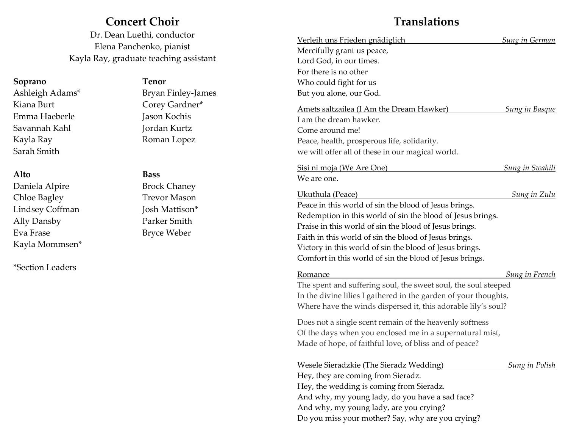# **Concert Choir**

Dr. Dean Luethi, conductor Elena Panchenko, pianist Kayla Ray, graduate teaching assistant

## **Soprano Tenor**

Kiana Burt Corey Gardner\* Emma Haeberle Jason Kochis Savannah Kahl Jordan Kurtz Kayla Ray Roman Lopez Sarah Smith

## **Alto Bass**

Daniela Alpire Brock Chaney Chloe Bagley Trevor Mason Lindsey Coffman Josh Mattison\* Ally Dansby Parker Smith Eva Frase Bryce Weber Kayla Mommsen\*

\*Section Leaders

Ashleigh Adams\* Bryan Finley-James

# **Translations**

| Verleih uns Frieden gnädiglich                                  | <b>Sung in German</b>  |
|-----------------------------------------------------------------|------------------------|
| Mercifully grant us peace,                                      |                        |
| Lord God, in our times.                                         |                        |
| For there is no other                                           |                        |
| Who could fight for us                                          |                        |
| But you alone, our God.                                         |                        |
| Amets saltzailea (I Am the Dream Hawker)                        | <b>Sung in Basque</b>  |
| I am the dream hawker.                                          |                        |
| Come around me!                                                 |                        |
| Peace, health, prosperous life, solidarity.                     |                        |
| we will offer all of these in our magical world.                |                        |
| Sisi ni moja (We Are One)                                       | <u>Sung in Swahili</u> |
| We are one.                                                     |                        |
| Ukuthula (Peace)                                                | <b>Sung in Zulu</b>    |
| Peace in this world of sin the blood of Jesus brings.           |                        |
| Redemption in this world of sin the blood of Jesus brings.      |                        |
| Praise in this world of sin the blood of Jesus brings.          |                        |
| Faith in this world of sin the blood of Jesus brings.           |                        |
| Victory in this world of sin the blood of Jesus brings.         |                        |
| Comfort in this world of sin the blood of Jesus brings.         |                        |
| Romance                                                         | <b>Sung in French</b>  |
| The spent and suffering soul, the sweet soul, the soul steeped  |                        |
| In the divine lilies I gathered in the garden of your thoughts, |                        |
| Where have the winds dispersed it, this adorable lily's soul?   |                        |
| Does not a single scent remain of the heavenly softness         |                        |
| Of the days when you enclosed me in a supernatural mist,        |                        |
| Made of hope, of faithful love, of bliss and of peace?          |                        |
| <b>Wesele Sieradzkie (The Sieradz Wedding)</b>                  |                        |
| Hey, they are coming from Sieradz.                              | <b>Sung in Polish</b>  |
| Hey, the wedding is coming from Sieradz.                        |                        |
| And why, my young lady, do you have a sad face?                 |                        |
| $\sim$ $\sim$ $\sim$ $\sim$ $\sim$                              |                        |

And why, my young lady, are you crying?

Do you miss your mother? Say, why are you crying?